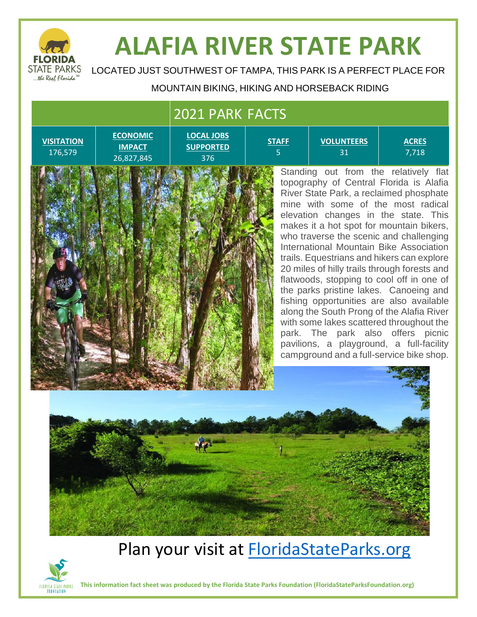

# **ALAFIA RIVER STATE PARK**

LOCATED JUST SOUTHWEST OF TAMPA, THIS PARK IS A PERFECT PLACE FOR

#### MOUNTAIN BIKING, HIKING AND HORSEBACK RIDING

**STAFF** 5

#### 2021 PARK FACTS

**VISITATION** 176,579

**ECONOMIC IMPACT** 26,827,845

**LOCAL JOBS SUPPORTED** 376

**VOLUNTEERS** 31

**ACRES** 7,718



Standing out from the relatively flat topography of Central Florida is Alafia River State Park, a reclaimed phosphate mine with some of the most radical elevation changes in the state. This makes it a hot spot for mountain bikers, who traverse the scenic and challenging International Mountain Bike Association trails. Equestrians and hikers can explore 20 miles of hilly trails through forests and flatwoods, stopping to cool off in one of the parks pristine lakes. Canoeing and fishing opportunities are also available along the South Prong of the Alafia River with some lakes scattered throughout the park. The park also offers picnic pavilions, a playground, a full-facility campground and a full-service bike shop.



### Plan your visit at **FloridaStateParks.org**



**This information fact sheet was produced by the Florida State Parks Foundation (FloridaStateParksFoundation.org)**